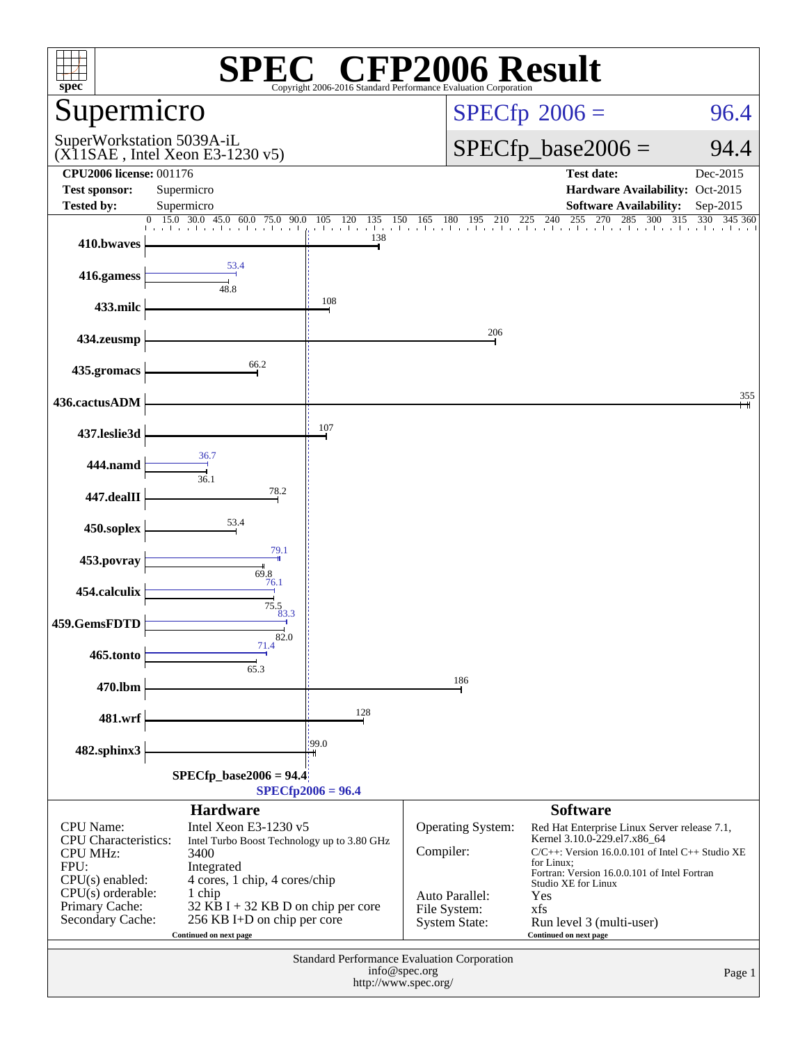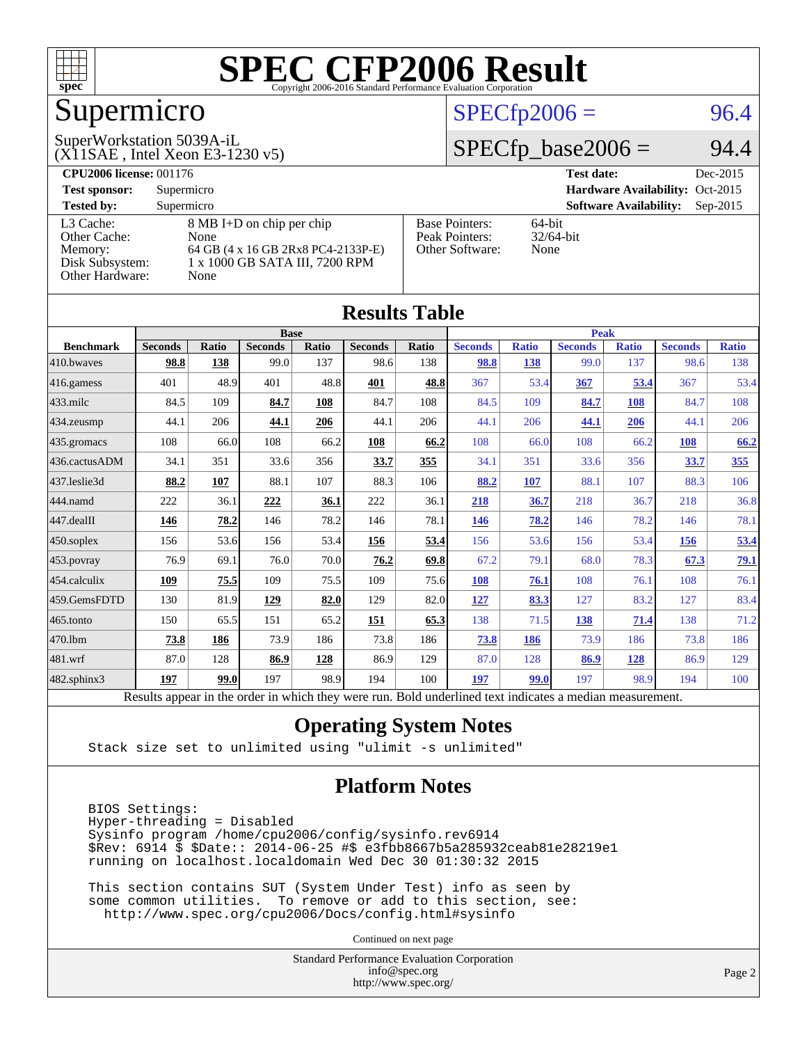

## Supermicro

#### $SPECfp2006 = 96.4$  $SPECfp2006 = 96.4$

(X11SAE , Intel Xeon E3-1230 v5) SuperWorkstation 5039A-iL

 $SPECfp\_base2006 = 94.4$ 

| <b>CPU2006 license: 001176</b> |                                    |                       | <b>Test date:</b><br>Dec-2015               |
|--------------------------------|------------------------------------|-----------------------|---------------------------------------------|
| <b>Test sponsor:</b>           | Supermicro                         |                       | Hardware Availability: Oct-2015             |
| <b>Tested by:</b>              | Supermicro                         |                       | <b>Software Availability:</b><br>$Sep-2015$ |
| L3 Cache:                      | 8 MB I+D on chip per chip          | <b>Base Pointers:</b> | $64$ -bit                                   |
| Other Cache:                   | None                               | Peak Pointers:        | $32/64$ -bit                                |
| Memory:                        | 64 GB (4 x 16 GB 2Rx8 PC4-2133P-E) | Other Software:       | None                                        |
| Disk Subsystem:                | 1 x 1000 GB SATA III, 7200 RPM     |                       |                                             |
| Other Hardware:                | None                               |                       |                                             |

| <b>Results Table</b> |                                                                                                          |       |                |       |                |             |                |              |                |              |                |              |
|----------------------|----------------------------------------------------------------------------------------------------------|-------|----------------|-------|----------------|-------------|----------------|--------------|----------------|--------------|----------------|--------------|
|                      | <b>Base</b>                                                                                              |       |                |       |                | <b>Peak</b> |                |              |                |              |                |              |
| <b>Benchmark</b>     | <b>Seconds</b>                                                                                           | Ratio | <b>Seconds</b> | Ratio | <b>Seconds</b> | Ratio       | <b>Seconds</b> | <b>Ratio</b> | <b>Seconds</b> | <b>Ratio</b> | <b>Seconds</b> | <b>Ratio</b> |
| 410.bwayes           | 98.8                                                                                                     | 138   | 99.0           | 137   | 98.6           | 138         | 98.8           | 138          | 99.0           | 137          | 98.6           | 138          |
| 416.gamess           | 401                                                                                                      | 48.9  | 401            | 48.8  | 401            | 48.8        | 367            | 53.4         | 367            | 53.4         | 367            | 53.4         |
| $433$ .milc          | 84.5                                                                                                     | 109   | 84.7           | 108   | 84.7           | 108         | 84.5           | 109          | 84.7           | 108          | 84.7           | 108          |
| 434.zeusmp           | 44.1                                                                                                     | 206   | 44.1           | 206   | 44.1           | 206         | 44.1           | 206          | 44.1           | 206          | 44.1           | 206          |
| 435.gromacs          | 108                                                                                                      | 66.0  | 108            | 66.2  | 108            | 66.2        | 108            | 66.0         | 108            | 66.2         | 108            | 66.2         |
| 436.cactusADM        | 34.1                                                                                                     | 351   | 33.6           | 356   | 33.7           | 355         | 34.1           | 351          | 33.6           | 356          | 33.7           | 355          |
| 437.leslie3d         | 88.2                                                                                                     | 107   | 88.1           | 107   | 88.3           | 106         | 88.2           | 107          | 88.1           | 107          | 88.3           | 106          |
| 444.namd             | 222                                                                                                      | 36.1  | 222            | 36.1  | 222            | 36.1        | 218            | 36.7         | 218            | 36.7         | 218            | 36.8         |
| 447.dealII           | 146                                                                                                      | 78.2  | 146            | 78.2  | 146            | 78.1        | 146            | 78.2         | 146            | 78.2         | 146            | 78.1         |
| 450.soplex           | 156                                                                                                      | 53.6  | 156            | 53.4  | 156            | 53.4        | 156            | 53.6         | 156            | 53.4         | 156            | 53.4         |
| 453.povray           | 76.9                                                                                                     | 69.1  | 76.0           | 70.0  | 76.2           | 69.8        | 67.2           | 79.1         | 68.0           | 78.3         | 67.3           | <u>79.1</u>  |
| 454.calculix         | 109                                                                                                      | 75.5  | 109            | 75.5  | 109            | 75.6        | 108            | 76.1         | 108            | 76.1         | 108            | 76.1         |
| 459.GemsFDTD         | 130                                                                                                      | 81.9  | 129            | 82.0  | 129            | 82.0        | 127            | 83.3         | 127            | 83.2         | 127            | 83.4         |
| 465.tonto            | 150                                                                                                      | 65.5  | 151            | 65.2  | 151            | 65.3        | 138            | 71.5         | 138            | 71.4         | 138            | 71.2         |
| 470.1bm              | 73.8                                                                                                     | 186   | 73.9           | 186   | 73.8           | 186         | <b>73.8</b>    | 186          | 73.9           | 186          | 73.8           | 186          |
| 481.wrf              | 87.0                                                                                                     | 128   | 86.9           | 128   | 86.9           | 129         | 87.0           | 128          | 86.9           | 128          | 86.9           | 129          |
| 482.sphinx3          | 197                                                                                                      | 99.0  | 197            | 98.9  | 194            | 100         | 197            | 99.0         | 197            | 98.9         | 194            | 100          |
|                      | Results appear in the order in which they were run. Bold underlined text indicates a median measurement. |       |                |       |                |             |                |              |                |              |                |              |

#### **[Operating System Notes](http://www.spec.org/auto/cpu2006/Docs/result-fields.html#OperatingSystemNotes)**

Stack size set to unlimited using "ulimit -s unlimited"

#### **[Platform Notes](http://www.spec.org/auto/cpu2006/Docs/result-fields.html#PlatformNotes)**

 BIOS Settings: Hyper-threading = Disabled Sysinfo program /home/cpu2006/config/sysinfo.rev6914 \$Rev: 6914 \$ \$Date:: 2014-06-25 #\$ e3fbb8667b5a285932ceab81e28219e1 running on localhost.localdomain Wed Dec 30 01:30:32 2015

 This section contains SUT (System Under Test) info as seen by some common utilities. To remove or add to this section, see: <http://www.spec.org/cpu2006/Docs/config.html#sysinfo>

Continued on next page

Standard Performance Evaluation Corporation [info@spec.org](mailto:info@spec.org) <http://www.spec.org/>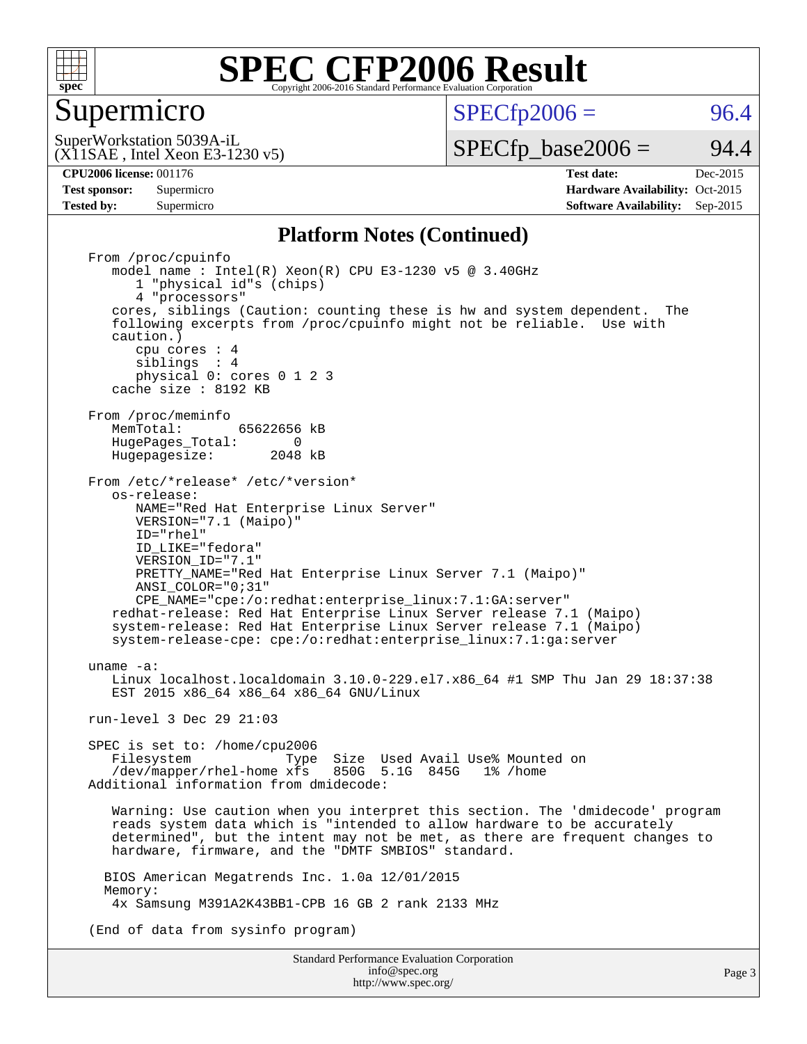

#### Supermicro

 $SPECTp2006 = 96.4$ 

(X11SAE , Intel Xeon E3-1230 v5) SuperWorkstation 5039A-iL

 $SPECTp\_base2006 = 94.4$ 

Page 3

**[CPU2006 license:](http://www.spec.org/auto/cpu2006/Docs/result-fields.html#CPU2006license)** 001176 **[Test date:](http://www.spec.org/auto/cpu2006/Docs/result-fields.html#Testdate)** Dec-2015 **[Test sponsor:](http://www.spec.org/auto/cpu2006/Docs/result-fields.html#Testsponsor)** Supermicro Supermicro **[Hardware Availability:](http://www.spec.org/auto/cpu2006/Docs/result-fields.html#HardwareAvailability)** Oct-2015 **[Tested by:](http://www.spec.org/auto/cpu2006/Docs/result-fields.html#Testedby)** Supermicro **Supermicro [Software Availability:](http://www.spec.org/auto/cpu2006/Docs/result-fields.html#SoftwareAvailability)** Sep-2015

#### **[Platform Notes \(Continued\)](http://www.spec.org/auto/cpu2006/Docs/result-fields.html#PlatformNotes)**

Standard Performance Evaluation Corporation From /proc/cpuinfo model name:  $Intel(R)$  Xeon $(R)$  CPU E3-1230 v5 @ 3.40GHz 1 "physical id"s (chips) 4 "processors" cores, siblings (Caution: counting these is hw and system dependent. The following excerpts from /proc/cpuinfo might not be reliable. Use with caution.) cpu cores : 4 siblings : 4 physical 0: cores 0 1 2 3 cache size : 8192 KB From /proc/meminfo<br>MemTotal: 65622656 kB HugePages\_Total: 0<br>Hugepagesize: 2048 kB Hugepagesize: From /etc/\*release\* /etc/\*version\* os-release: NAME="Red Hat Enterprise Linux Server" VERSION="7.1 (Maipo)" ID="rhel" ID\_LIKE="fedora" VERSION\_ID="7.1" PRETTY NAME="Red Hat Enterprise Linux Server 7.1 (Maipo)" ANSI\_COLOR="0;31" CPE\_NAME="cpe:/o:redhat:enterprise\_linux:7.1:GA:server" redhat-release: Red Hat Enterprise Linux Server release 7.1 (Maipo) system-release: Red Hat Enterprise Linux Server release 7.1 (Maipo) system-release-cpe: cpe:/o:redhat:enterprise\_linux:7.1:ga:server uname -a: Linux localhost.localdomain 3.10.0-229.el7.x86\_64 #1 SMP Thu Jan 29 18:37:38 EST 2015 x86\_64 x86\_64 x86\_64 GNU/Linux run-level 3 Dec 29 21:03 SPEC is set to: /home/cpu2006 Filesystem Type Size Used Avail Use% Mounted on /dev/mapper/rhel-home xfs 850G 5.1G 845G 1% /home Additional information from dmidecode: Warning: Use caution when you interpret this section. The 'dmidecode' program reads system data which is "intended to allow hardware to be accurately determined", but the intent may not be met, as there are frequent changes to hardware, firmware, and the "DMTF SMBIOS" standard. BIOS American Megatrends Inc. 1.0a 12/01/2015 Memory: 4x Samsung M391A2K43BB1-CPB 16 GB 2 rank 2133 MHz (End of data from sysinfo program)

> [info@spec.org](mailto:info@spec.org) <http://www.spec.org/>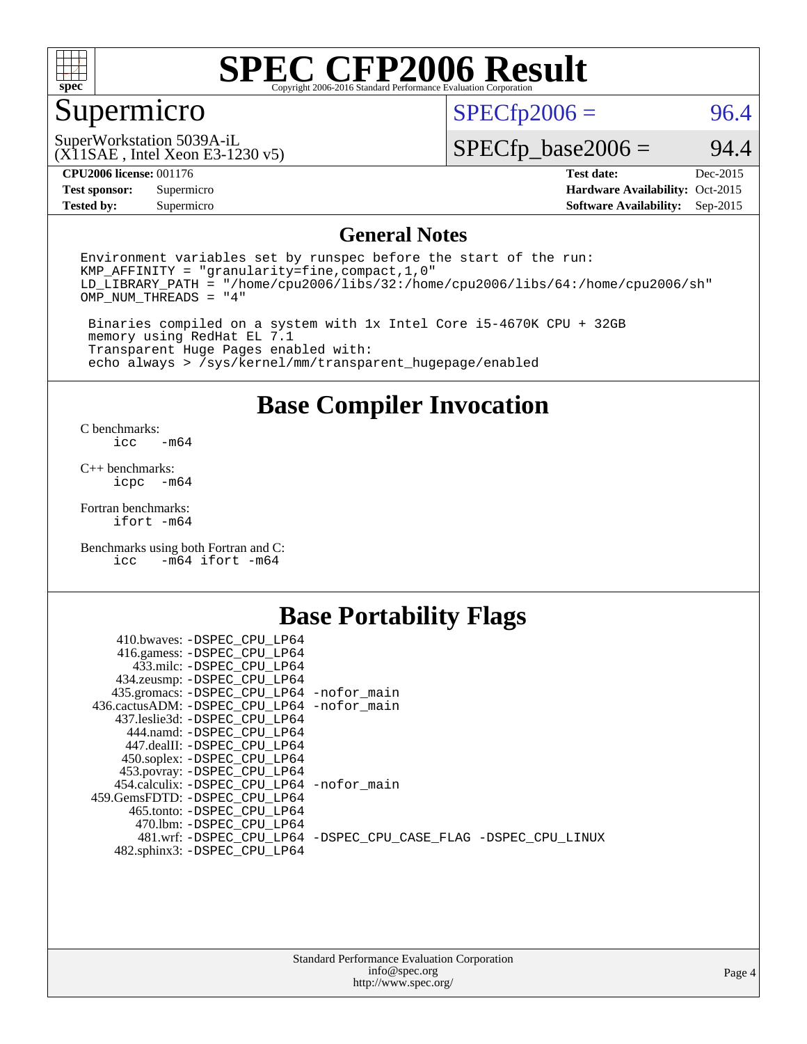

### Supermicro

 $SPECfp2006 = 96.4$  $SPECfp2006 = 96.4$ 

(X11SAE , Intel Xeon E3-1230 v5) SuperWorkstation 5039A-iL

 $SPECfp\_base2006 = 94.4$ 

| <b>CPU2006 license: 001176</b> |
|--------------------------------|
|--------------------------------|

**[Tested by:](http://www.spec.org/auto/cpu2006/Docs/result-fields.html#Testedby)** Supermicro **[Software Availability:](http://www.spec.org/auto/cpu2006/Docs/result-fields.html#SoftwareAvailability)** Sep-2015

**[CPU2006 license:](http://www.spec.org/auto/cpu2006/Docs/result-fields.html#CPU2006license)** 001176 **[Test date:](http://www.spec.org/auto/cpu2006/Docs/result-fields.html#Testdate)** Dec-2015 **[Test sponsor:](http://www.spec.org/auto/cpu2006/Docs/result-fields.html#Testsponsor)** Supermicro Supermicro **[Hardware Availability:](http://www.spec.org/auto/cpu2006/Docs/result-fields.html#HardwareAvailability)** Oct-2015

#### **[General Notes](http://www.spec.org/auto/cpu2006/Docs/result-fields.html#GeneralNotes)**

Environment variables set by runspec before the start of the run: KMP\_AFFINITY = "granularity=fine,compact,1,0" LD\_LIBRARY\_PATH = "/home/cpu2006/libs/32:/home/cpu2006/libs/64:/home/cpu2006/sh" OMP\_NUM\_THREADS = "4"

 Binaries compiled on a system with 1x Intel Core i5-4670K CPU + 32GB memory using RedHat EL 7.1 Transparent Huge Pages enabled with: echo always > /sys/kernel/mm/transparent\_hugepage/enabled

#### **[Base Compiler Invocation](http://www.spec.org/auto/cpu2006/Docs/result-fields.html#BaseCompilerInvocation)**

[C benchmarks](http://www.spec.org/auto/cpu2006/Docs/result-fields.html#Cbenchmarks):  $-m64$ 

[C++ benchmarks:](http://www.spec.org/auto/cpu2006/Docs/result-fields.html#CXXbenchmarks) [icpc -m64](http://www.spec.org/cpu2006/results/res2016q1/cpu2006-20160106-38582.flags.html#user_CXXbase_intel_icpc_64bit_bedb90c1146cab66620883ef4f41a67e)

[Fortran benchmarks](http://www.spec.org/auto/cpu2006/Docs/result-fields.html#Fortranbenchmarks): [ifort -m64](http://www.spec.org/cpu2006/results/res2016q1/cpu2006-20160106-38582.flags.html#user_FCbase_intel_ifort_64bit_ee9d0fb25645d0210d97eb0527dcc06e)

[Benchmarks using both Fortran and C](http://www.spec.org/auto/cpu2006/Docs/result-fields.html#BenchmarksusingbothFortranandC): [icc -m64](http://www.spec.org/cpu2006/results/res2016q1/cpu2006-20160106-38582.flags.html#user_CC_FCbase_intel_icc_64bit_0b7121f5ab7cfabee23d88897260401c) [ifort -m64](http://www.spec.org/cpu2006/results/res2016q1/cpu2006-20160106-38582.flags.html#user_CC_FCbase_intel_ifort_64bit_ee9d0fb25645d0210d97eb0527dcc06e)

#### **[Base Portability Flags](http://www.spec.org/auto/cpu2006/Docs/result-fields.html#BasePortabilityFlags)**

| 410.bwaves: -DSPEC CPU LP64                 |                                                                |
|---------------------------------------------|----------------------------------------------------------------|
| 416.gamess: -DSPEC_CPU_LP64                 |                                                                |
| 433.milc: -DSPEC CPU LP64                   |                                                                |
| 434.zeusmp: -DSPEC_CPU_LP64                 |                                                                |
| 435.gromacs: -DSPEC_CPU_LP64 -nofor_main    |                                                                |
| 436.cactusADM: -DSPEC CPU LP64 -nofor main  |                                                                |
| 437.leslie3d: -DSPEC CPU LP64               |                                                                |
| 444.namd: -DSPEC CPU LP64                   |                                                                |
| 447.dealII: -DSPEC CPU LP64                 |                                                                |
| 450.soplex: -DSPEC_CPU_LP64                 |                                                                |
| 453.povray: -DSPEC_CPU_LP64                 |                                                                |
| 454.calculix: - DSPEC CPU LP64 - nofor main |                                                                |
| 459. GemsFDTD: - DSPEC CPU LP64             |                                                                |
| 465.tonto: - DSPEC CPU LP64                 |                                                                |
| 470.1bm: - DSPEC CPU LP64                   |                                                                |
|                                             | 481.wrf: -DSPEC_CPU_LP64 -DSPEC_CPU_CASE_FLAG -DSPEC_CPU_LINUX |
| 482.sphinx3: -DSPEC_CPU_LP64                |                                                                |
|                                             |                                                                |

| <b>Standard Performance Evaluation Corporation</b> |
|----------------------------------------------------|
| info@spec.org                                      |
| http://www.spec.org/                               |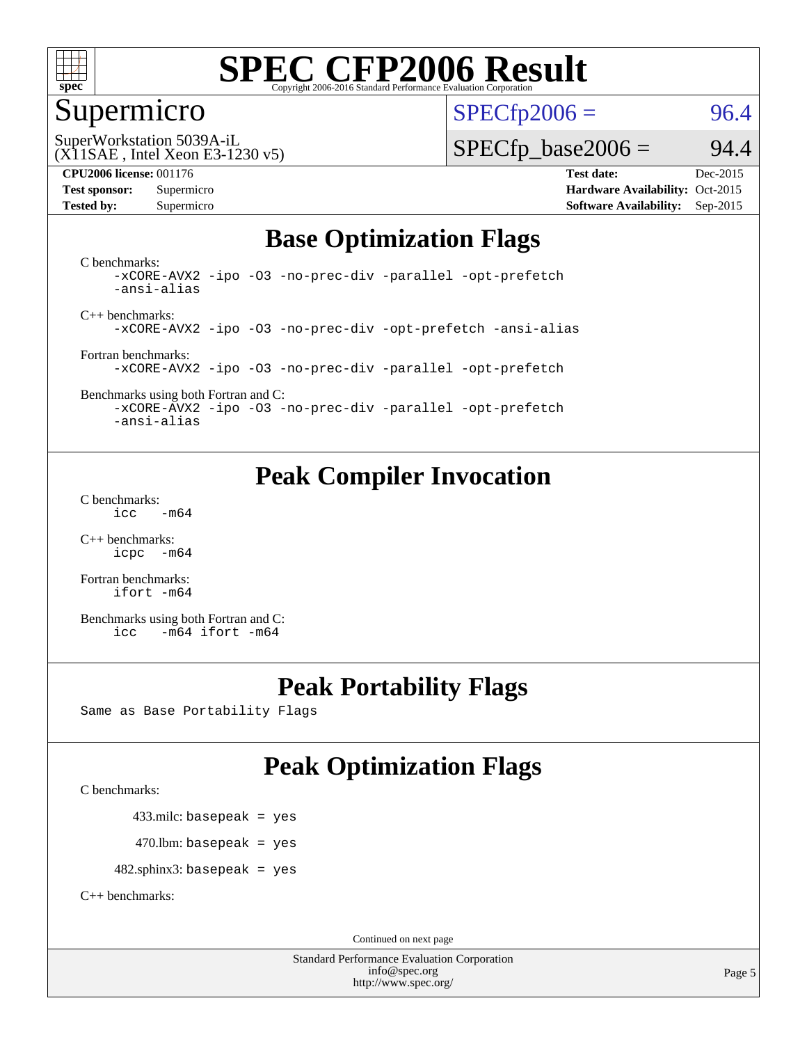

#### Supermicro

 $SPECTp2006 = 96.4$ 

(X11SAE , Intel Xeon E3-1230 v5) SuperWorkstation 5039A-iL

 $SPECTp\_base2006 = 94.4$ 

**[CPU2006 license:](http://www.spec.org/auto/cpu2006/Docs/result-fields.html#CPU2006license)** 001176 **[Test date:](http://www.spec.org/auto/cpu2006/Docs/result-fields.html#Testdate)** Dec-2015 **[Test sponsor:](http://www.spec.org/auto/cpu2006/Docs/result-fields.html#Testsponsor)** Supermicro Supermicro **[Hardware Availability:](http://www.spec.org/auto/cpu2006/Docs/result-fields.html#HardwareAvailability)** Oct-2015 **[Tested by:](http://www.spec.org/auto/cpu2006/Docs/result-fields.html#Testedby)** Supermicro **Supermicro [Software Availability:](http://www.spec.org/auto/cpu2006/Docs/result-fields.html#SoftwareAvailability)** Sep-2015

### **[Base Optimization Flags](http://www.spec.org/auto/cpu2006/Docs/result-fields.html#BaseOptimizationFlags)**

[C benchmarks](http://www.spec.org/auto/cpu2006/Docs/result-fields.html#Cbenchmarks): [-xCORE-AVX2](http://www.spec.org/cpu2006/results/res2016q1/cpu2006-20160106-38582.flags.html#user_CCbase_f-xAVX2_5f5fc0cbe2c9f62c816d3e45806c70d7) [-ipo](http://www.spec.org/cpu2006/results/res2016q1/cpu2006-20160106-38582.flags.html#user_CCbase_f-ipo) [-O3](http://www.spec.org/cpu2006/results/res2016q1/cpu2006-20160106-38582.flags.html#user_CCbase_f-O3) [-no-prec-div](http://www.spec.org/cpu2006/results/res2016q1/cpu2006-20160106-38582.flags.html#user_CCbase_f-no-prec-div) [-parallel](http://www.spec.org/cpu2006/results/res2016q1/cpu2006-20160106-38582.flags.html#user_CCbase_f-parallel) [-opt-prefetch](http://www.spec.org/cpu2006/results/res2016q1/cpu2006-20160106-38582.flags.html#user_CCbase_f-opt-prefetch) [-ansi-alias](http://www.spec.org/cpu2006/results/res2016q1/cpu2006-20160106-38582.flags.html#user_CCbase_f-ansi-alias)

[C++ benchmarks:](http://www.spec.org/auto/cpu2006/Docs/result-fields.html#CXXbenchmarks) [-xCORE-AVX2](http://www.spec.org/cpu2006/results/res2016q1/cpu2006-20160106-38582.flags.html#user_CXXbase_f-xAVX2_5f5fc0cbe2c9f62c816d3e45806c70d7) [-ipo](http://www.spec.org/cpu2006/results/res2016q1/cpu2006-20160106-38582.flags.html#user_CXXbase_f-ipo) [-O3](http://www.spec.org/cpu2006/results/res2016q1/cpu2006-20160106-38582.flags.html#user_CXXbase_f-O3) [-no-prec-div](http://www.spec.org/cpu2006/results/res2016q1/cpu2006-20160106-38582.flags.html#user_CXXbase_f-no-prec-div) [-opt-prefetch](http://www.spec.org/cpu2006/results/res2016q1/cpu2006-20160106-38582.flags.html#user_CXXbase_f-opt-prefetch) [-ansi-alias](http://www.spec.org/cpu2006/results/res2016q1/cpu2006-20160106-38582.flags.html#user_CXXbase_f-ansi-alias)

[Fortran benchmarks](http://www.spec.org/auto/cpu2006/Docs/result-fields.html#Fortranbenchmarks): [-xCORE-AVX2](http://www.spec.org/cpu2006/results/res2016q1/cpu2006-20160106-38582.flags.html#user_FCbase_f-xAVX2_5f5fc0cbe2c9f62c816d3e45806c70d7) [-ipo](http://www.spec.org/cpu2006/results/res2016q1/cpu2006-20160106-38582.flags.html#user_FCbase_f-ipo) [-O3](http://www.spec.org/cpu2006/results/res2016q1/cpu2006-20160106-38582.flags.html#user_FCbase_f-O3) [-no-prec-div](http://www.spec.org/cpu2006/results/res2016q1/cpu2006-20160106-38582.flags.html#user_FCbase_f-no-prec-div) [-parallel](http://www.spec.org/cpu2006/results/res2016q1/cpu2006-20160106-38582.flags.html#user_FCbase_f-parallel) [-opt-prefetch](http://www.spec.org/cpu2006/results/res2016q1/cpu2006-20160106-38582.flags.html#user_FCbase_f-opt-prefetch)

[Benchmarks using both Fortran and C](http://www.spec.org/auto/cpu2006/Docs/result-fields.html#BenchmarksusingbothFortranandC): [-xCORE-AVX2](http://www.spec.org/cpu2006/results/res2016q1/cpu2006-20160106-38582.flags.html#user_CC_FCbase_f-xAVX2_5f5fc0cbe2c9f62c816d3e45806c70d7) [-ipo](http://www.spec.org/cpu2006/results/res2016q1/cpu2006-20160106-38582.flags.html#user_CC_FCbase_f-ipo) [-O3](http://www.spec.org/cpu2006/results/res2016q1/cpu2006-20160106-38582.flags.html#user_CC_FCbase_f-O3) [-no-prec-div](http://www.spec.org/cpu2006/results/res2016q1/cpu2006-20160106-38582.flags.html#user_CC_FCbase_f-no-prec-div) [-parallel](http://www.spec.org/cpu2006/results/res2016q1/cpu2006-20160106-38582.flags.html#user_CC_FCbase_f-parallel) [-opt-prefetch](http://www.spec.org/cpu2006/results/res2016q1/cpu2006-20160106-38582.flags.html#user_CC_FCbase_f-opt-prefetch)

[-ansi-alias](http://www.spec.org/cpu2006/results/res2016q1/cpu2006-20160106-38582.flags.html#user_CC_FCbase_f-ansi-alias)

### **[Peak Compiler Invocation](http://www.spec.org/auto/cpu2006/Docs/result-fields.html#PeakCompilerInvocation)**

[C benchmarks](http://www.spec.org/auto/cpu2006/Docs/result-fields.html#Cbenchmarks):  $\text{icc}$   $-\text{m64}$ 

[C++ benchmarks:](http://www.spec.org/auto/cpu2006/Docs/result-fields.html#CXXbenchmarks) [icpc -m64](http://www.spec.org/cpu2006/results/res2016q1/cpu2006-20160106-38582.flags.html#user_CXXpeak_intel_icpc_64bit_bedb90c1146cab66620883ef4f41a67e)

[Fortran benchmarks](http://www.spec.org/auto/cpu2006/Docs/result-fields.html#Fortranbenchmarks): [ifort -m64](http://www.spec.org/cpu2006/results/res2016q1/cpu2006-20160106-38582.flags.html#user_FCpeak_intel_ifort_64bit_ee9d0fb25645d0210d97eb0527dcc06e)

[Benchmarks using both Fortran and C](http://www.spec.org/auto/cpu2006/Docs/result-fields.html#BenchmarksusingbothFortranandC): [icc -m64](http://www.spec.org/cpu2006/results/res2016q1/cpu2006-20160106-38582.flags.html#user_CC_FCpeak_intel_icc_64bit_0b7121f5ab7cfabee23d88897260401c) [ifort -m64](http://www.spec.org/cpu2006/results/res2016q1/cpu2006-20160106-38582.flags.html#user_CC_FCpeak_intel_ifort_64bit_ee9d0fb25645d0210d97eb0527dcc06e)

### **[Peak Portability Flags](http://www.spec.org/auto/cpu2006/Docs/result-fields.html#PeakPortabilityFlags)**

Same as Base Portability Flags

## **[Peak Optimization Flags](http://www.spec.org/auto/cpu2006/Docs/result-fields.html#PeakOptimizationFlags)**

[C benchmarks](http://www.spec.org/auto/cpu2006/Docs/result-fields.html#Cbenchmarks):

433.milc: basepeak = yes

 $470.$ lbm: basepeak = yes

482.sphinx3: basepeak = yes

[C++ benchmarks:](http://www.spec.org/auto/cpu2006/Docs/result-fields.html#CXXbenchmarks)

Continued on next page

Standard Performance Evaluation Corporation [info@spec.org](mailto:info@spec.org) <http://www.spec.org/>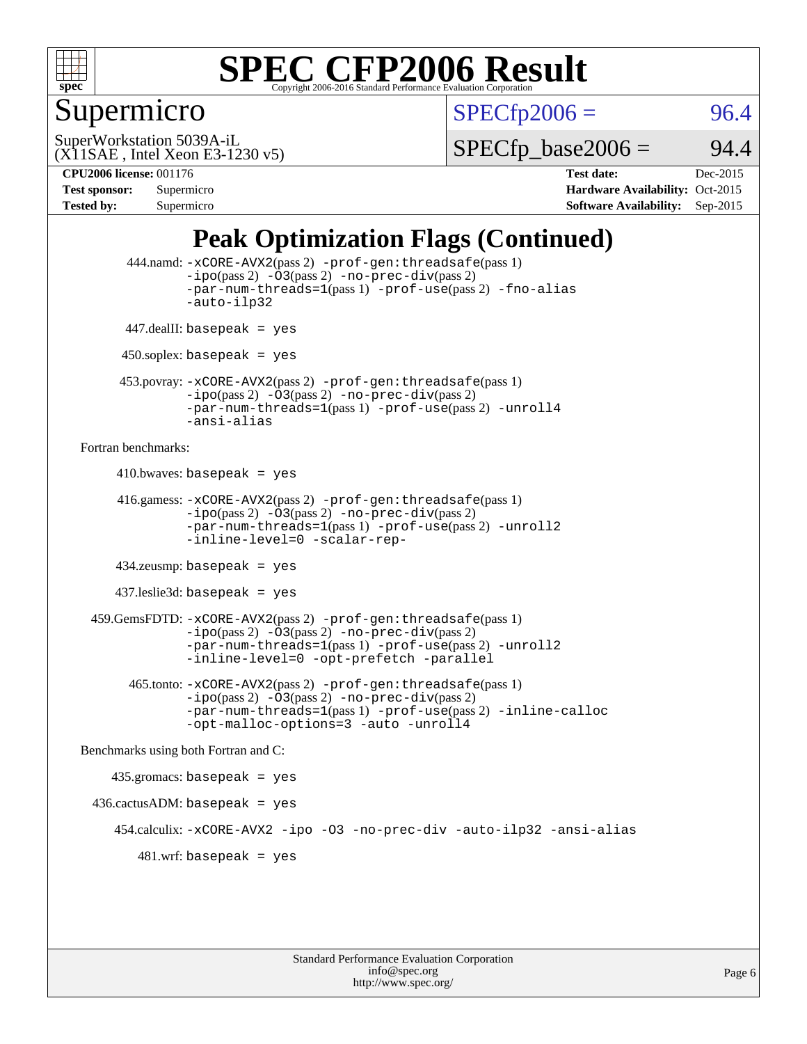

### Supermicro

 $SPECTp2006 = 96.4$ 

(X11SAE , Intel Xeon E3-1230 v5) SuperWorkstation 5039A-iL

 $SPECTp\_base2006 = 94.4$ 

**[Tested by:](http://www.spec.org/auto/cpu2006/Docs/result-fields.html#Testedby)** Supermicro **Supermicro [Software Availability:](http://www.spec.org/auto/cpu2006/Docs/result-fields.html#SoftwareAvailability)** Sep-2015

**[CPU2006 license:](http://www.spec.org/auto/cpu2006/Docs/result-fields.html#CPU2006license)** 001176 **[Test date:](http://www.spec.org/auto/cpu2006/Docs/result-fields.html#Testdate)** Dec-2015 **[Test sponsor:](http://www.spec.org/auto/cpu2006/Docs/result-fields.html#Testsponsor)** Supermicro **[Hardware Availability:](http://www.spec.org/auto/cpu2006/Docs/result-fields.html#HardwareAvailability)** Oct-2015

## **[Peak Optimization Flags \(Continued\)](http://www.spec.org/auto/cpu2006/Docs/result-fields.html#PeakOptimizationFlags)**

```
 444.namd: -xCORE-AVX2(pass 2) -prof-gen:threadsafe(pass 1)
               -ipo(pass 2) -03(pass 2) -no-prec-div(pass 2)
               -par-num-threads=1(pass 1) -prof-use(pass 2) -fno-alias
               -auto-ilp32
      447.dealII: basepeak = yes
      450.soplex: basepeak = yes
      453.povray: -xCORE-AVX2(pass 2) -prof-gen:threadsafe(pass 1)
               -no-prec-div(pass 2)-par-num-threads=1(pass 1) -prof-use(pass 2) -unroll4
               -ansi-alias
Fortran benchmarks: 
     410.bwaves: basepeak = yes 416.gamess: -xCORE-AVX2(pass 2) -prof-gen:threadsafe(pass 1)
               -ipo(pass 2) -03(pass 2) -no-prec-div(pass 2)-par-num-threads=1(pass 1) -prof-use(pass 2) -unroll2
               -inline-level=0 -scalar-rep-
      434.zeusmp: basepeak = yes
     437.leslie3d: basepeak = yes
  459.GemsFDTD: -xCORE-AVX2(pass 2) -prof-gen:threadsafe(pass 1)
               -i\text{po}(pass 2) -\tilde{O}3(pass 2)-no-prec-div(pass 2)
               -par-num-threads=1(pass 1) -prof-use(pass 2) -unroll2
               -inline-level=0 -opt-prefetch -parallel
        465.tonto: -xCORE-AVX2(pass 2) -prof-gen:threadsafe(pass 1)
               -no-prec-div(pass 2)-par-num-threads=1(pass 1) -prof-use(pass 2) -inline-calloc
               -opt-malloc-options=3 -auto -unroll4
Benchmarks using both Fortran and C: 
     435.gromacs: basepeak = yes
 436.cactusADM:basepeak = yes 454.calculix: -xCORE-AVX2 -ipo -O3 -no-prec-div -auto-ilp32 -ansi-alias
        481 \text{.m}: basepeak = yes
```